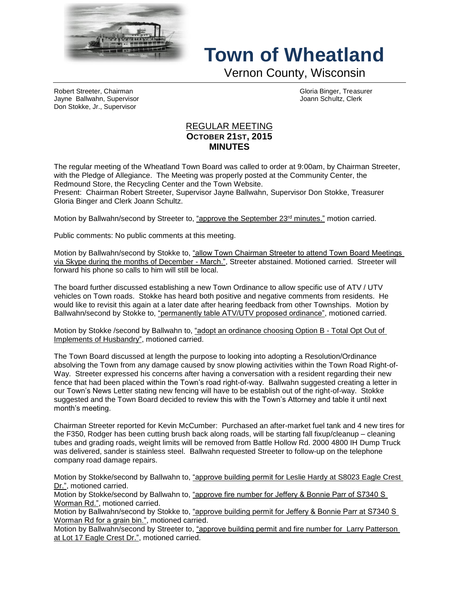

## **Town of Wheatland**

Vernon County, Wisconsin

Robert Streeter, Chairman (Chairman Chairman Gloria Binger, Treasurer Chairman Chairman Chairman Gloria Binger, Treasurer<br>Jayne Ballwahn, Supervisor Jayne Ballwahn, Supervisor Don Stokke, Jr., Supervisor

## REGULAR MEETING **OCTOBER 21ST, 2015 MINUTES**

The regular meeting of the Wheatland Town Board was called to order at 9:00am, by Chairman Streeter, with the Pledge of Allegiance. The Meeting was properly posted at the Community Center, the Redmound Store, the Recycling Center and the Town Website.

Present: Chairman Robert Streeter, Supervisor Jayne Ballwahn, Supervisor Don Stokke, Treasurer Gloria Binger and Clerk Joann Schultz.

Motion by Ballwahn/second by Streeter to, "approve the September 23<sup>rd</sup> minutes." motion carried.

Public comments: No public comments at this meeting.

Motion by Ballwahn/second by Stokke to, "allow Town Chairman Streeter to attend Town Board Meetings via Skype during the months of December - March.", Streeter abstained. Motioned carried. Streeter will forward his phone so calls to him will still be local.

The board further discussed establishing a new Town Ordinance to allow specific use of ATV / UTV vehicles on Town roads. Stokke has heard both positive and negative comments from residents. He would like to revisit this again at a later date after hearing feedback from other Townships. Motion by Ballwahn/second by Stokke to, "permanently table ATV/UTV proposed ordinance", motioned carried.

Motion by Stokke /second by Ballwahn to, "adopt an ordinance choosing Option B - Total Opt Out of Implements of Husbandry", motioned carried.

The Town Board discussed at length the purpose to looking into adopting a Resolution/Ordinance absolving the Town from any damage caused by snow plowing activities within the Town Road Right-of-Way. Streeter expressed his concerns after having a conversation with a resident regarding their new fence that had been placed within the Town's road right-of-way. Ballwahn suggested creating a letter in our Town's News Letter stating new fencing will have to be establish out of the right-of-way. Stokke suggested and the Town Board decided to review this with the Town's Attorney and table it until next month's meeting.

Chairman Streeter reported for Kevin McCumber: Purchased an after-market fuel tank and 4 new tires for the F350, Rodger has been cutting brush back along roads, will be starting fall fixup/cleanup – cleaning tubes and grading roads, weight limits will be removed from Battle Hollow Rd. 2000 4800 IH Dump Truck was delivered, sander is stainless steel. Ballwahn requested Streeter to follow-up on the telephone company road damage repairs.

Motion by Stokke/second by Ballwahn to, "approve building permit for Leslie Hardy at S8023 Eagle Crest Dr.", motioned carried.

Motion by Stokke/second by Ballwahn to, "approve fire number for Jeffery & Bonnie Parr of S7340 S Worman Rd.", motioned carried.

Motion by Ballwahn/second by Stokke to, "approve building permit for Jeffery & Bonnie Parr at S7340 S Worman Rd for a grain bin.", motioned carried.

Motion by Ballwahn/second by Streeter to, "approve building permit and fire number for Larry Patterson at Lot 17 Eagle Crest Dr.", motioned carried.